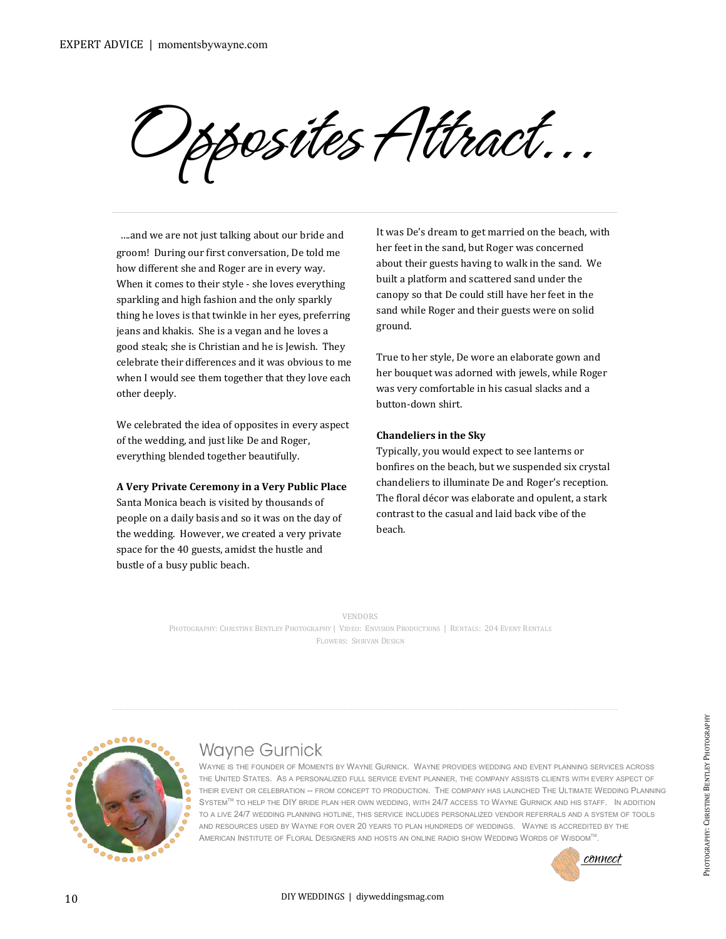Opposites Attract...

....and we are not just talking about our bride and groom! During our first conversation, De told me how different she and Roger are in every way. When it comes to their style - she loves everything sparkling and high fashion and the only sparkly thing he loves is that twinkle in her eyes, preferring jeans and khakis. She is a vegan and he loves a good steak; she is Christian and he is Jewish. They celebrate their differences and it was obvious to me when I would see them together that they love each other deeply.

We celebrated the idea of opposites in every aspect of the wedding, and just like De and Roger, everything blended together beautifully.

**A Very Private Ceremony in a Very Public Place**

Santa Monica beach is visited by thousands of people on a daily basis and so it was on the day of the wedding. However, we created a very private space for the 40 guests, amidst the hustle and bustle of a busy public beach.

It was De's dream to get married on the beach, with her feet in the sand, but Roger was concerned about their guests having to walk in the sand. We built a platform and scattered sand under the canopy so that De could still have her feet in the sand while Roger and their guests were on solid ground.

True to her style, De wore an elaborate gown and her bouquet was adorned with jewels, while Roger was very comfortable in his casual slacks and a button-down shirt.

## **Chandeliers in the Sky**

Typically, you would expect to see lanterns or bonfires on the beach, but we suspended six crystal chandeliers to illuminate De and Roger's reception. The floral décor was elaborate and opulent, a stark contrast to the casual and laid back vibe of the beach.

VENDORS

PHOTOGRAPHY: CHRISTINE BENTLEY PHOTOGRAPHY | VIDEO: ENVISION PRODUCTIONS | RENTALS: 204 EVENT RENTALS FLOWERS: SHIRVAN DESIGN



## **Wayne Gurnick**

WAYNE IS THE FOUNDER OF MOMENTS BY WAYNE GURNICK. WAYNE PROVIDES WEDDING AND EVENT PLANNING SERVICES ACROSS THE UNITED STATES. AS A PERSONALIZED FULL SERVICE EVENT PLANNER, THE COMPANY ASSISTS CLIENTS WITH EVERY ASPECT OF THEIR EVENT OR CELEBRATION -- FROM CONCEPT TO PRODUCTION. THE COMPANY HAS LAUNCHED THE ULTIMATE WEDDING [PLANNING](http://momentsbywayne.com/ultimate-wedding-planning-system) SYSTEM<sup>TM</sup> TO HELP THE DIY BRIDE PLAN HER OWN WEDDING, WITH 24/7 ACCESS TO WAYNE GURNICK AND HIS STAFF. IN ADDITION TO A LIVE 24/7 WEDDING PLANNING HOTLINE, THIS SERVICE INCLUDES PERSONALIZED VENDOR REFERRALS AND A SYSTEM OF TOOLS AND RESOURCES USED BY WAYNE FOR OVER 20 YEARS TO PLAN HUNDREDS OF WEDDINGS. WAYNE IS ACCREDITED BY THE AMERICAN INSTITUTE OF FLORAL DESIGNERS AND HOSTS AN ONLINE RADIO SHOW WEDDING WORDS OF WISDOMTM. CONNECT PHOTOGRAPHY: CHRISTINE BENTLEY<br>CHRISTING PLANNING<br>STAFF: IN ADDITION<br>STAFF: IN ADDITION<br>A SYSTEM OF TOOLS<br>DITED BY THE<br>M<sup>TM</sup>:<br>CONNECT

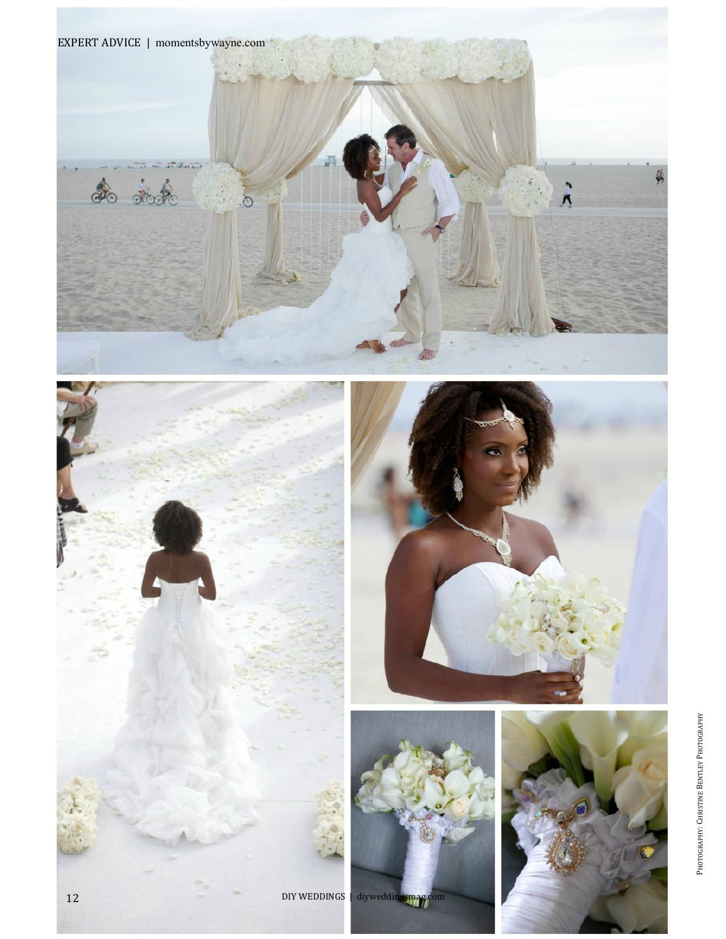





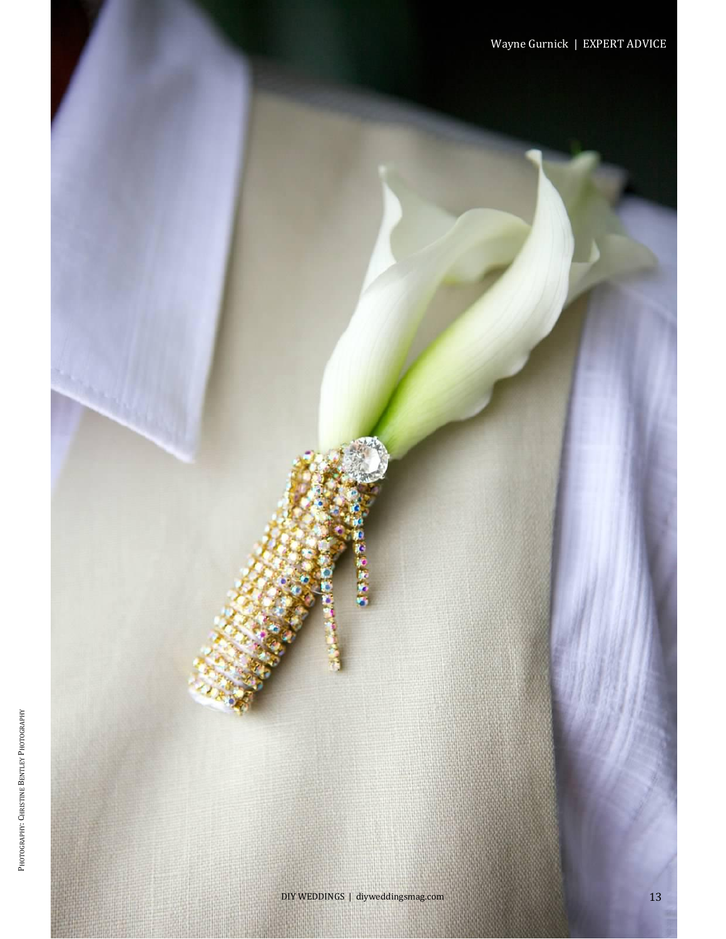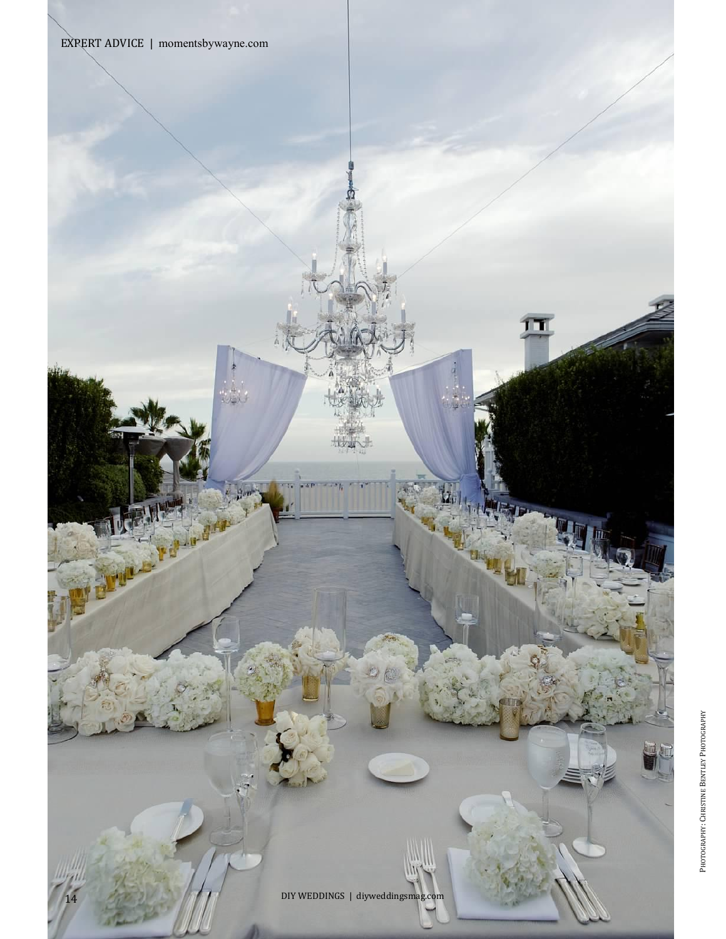

 $\frac{\Omega}{\Omega}$ en



π